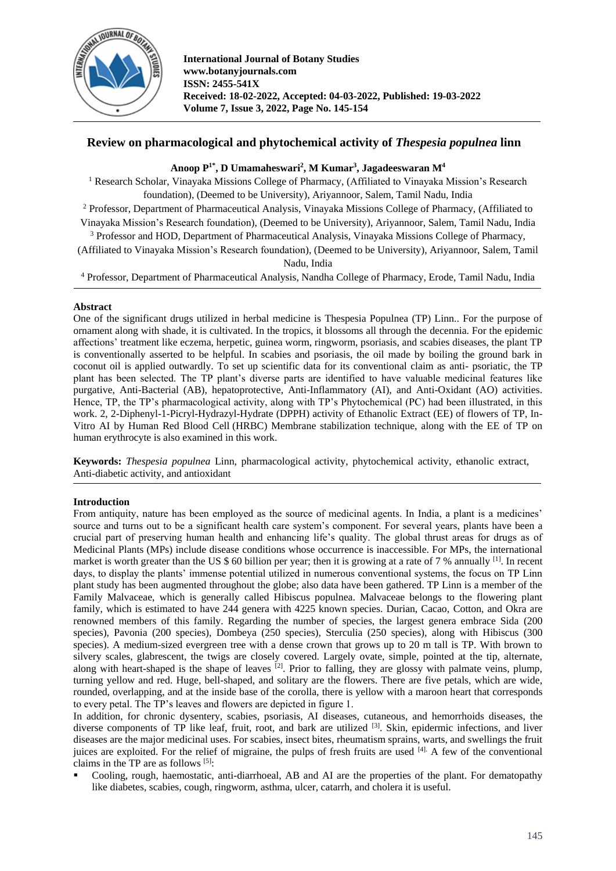

# **Review on pharmacological and phytochemical activity of** *Thespesia populnea* **linn**

# **Anoop P 1\* , D Umamaheswari<sup>2</sup> , M Kumar<sup>3</sup> , Jagadeeswaran M<sup>4</sup>**

<sup>1</sup> Research Scholar, Vinayaka Missions College of Pharmacy, (Affiliated to Vinayaka Mission's Research foundation), (Deemed to be University), Ariyannoor, Salem, Tamil Nadu, India

<sup>2</sup> Professor, Department of Pharmaceutical Analysis, Vinayaka Missions College of Pharmacy, (Affiliated to Vinayaka Mission's Research foundation), (Deemed to be University), Ariyannoor, Salem, Tamil Nadu, India

<sup>3</sup> Professor and HOD, Department of Pharmaceutical Analysis, Vinayaka Missions College of Pharmacy,

(Affiliated to Vinayaka Mission's Research foundation), (Deemed to be University), Ariyannoor, Salem, Tamil Nadu, India

<sup>4</sup> Professor, Department of Pharmaceutical Analysis, Nandha College of Pharmacy, Erode, Tamil Nadu, India

## **Abstract**

One of the significant drugs utilized in herbal medicine is Thespesia Populnea (TP) Linn.. For the purpose of ornament along with shade, it is cultivated. In the tropics, it blossoms all through the decennia. For the epidemic affections' treatment like eczema, herpetic, guinea worm, ringworm, psoriasis, and scabies diseases, the plant TP is conventionally asserted to be helpful. In scabies and psoriasis, the oil made by boiling the ground bark in coconut oil is applied outwardly. To set up scientific data for its conventional claim as anti- psoriatic, the TP plant has been selected. The TP plant's diverse parts are identified to have valuable medicinal features like purgative, Anti-Bacterial (AB), hepatoprotective, Anti-Inflammatory (AI), and Anti-Oxidant (AO) activities. Hence, TP, the TP's pharmacological activity, along with TP's Phytochemical (PC) had been illustrated, in this work. 2, 2-Diphenyl-1-Picryl-Hydrazyl-Hydrate (DPPH) activity of Ethanolic Extract (EE) of flowers of TP, In-Vitro AI by Human Red Blood Cell (HRBC) Membrane stabilization technique, along with the EE of TP on human erythrocyte is also examined in this work.

**Keywords:** *Thespesia populnea* Linn, pharmacological activity, phytochemical activity, ethanolic extract, Anti-diabetic activity, and antioxidant

## **Introduction**

From antiquity, nature has been employed as the source of medicinal agents. In India, a plant is a medicines' source and turns out to be a significant health care system's component. For several years, plants have been a crucial part of preserving human health and enhancing life's quality. The global thrust areas for drugs as of Medicinal Plants (MPs) include disease conditions whose occurrence is inaccessible. For MPs, the international market is worth greater than the US \$ 60 billion per year; then it is growing at a rate of 7 % annually <sup>[1]</sup>. In recent days, to display the plants' immense potential utilized in numerous conventional systems, the focus on TP Linn plant study has been augmented throughout the globe; also data have been gathered. TP Linn is a member of the Family Malvaceae, which is generally called Hibiscus populnea. Malvaceae belongs to the flowering plant family, which is estimated to have 244 genera with 4225 known species. Durian, Cacao, Cotton, and Okra are renowned members of this family. Regarding the number of species, the largest genera embrace Sida (200 species), Pavonia (200 species), Dombeya (250 species), Sterculia (250 species), along with Hibiscus (300 species). A medium-sized evergreen tree with a dense crown that grows up to 20 m tall is TP. With brown to silvery scales, glabrescent, the twigs are closely covered. Largely ovate, simple, pointed at the tip, alternate, along with heart-shaped is the shape of leaves  $\left[2\right]$ . Prior to falling, they are glossy with palmate veins, plump, turning yellow and red. Huge, bell-shaped, and solitary are the flowers. There are five petals, which are wide, rounded, overlapping, and at the inside base of the corolla, there is yellow with a maroon heart that corresponds to every petal. The TP's leaves and flowers are depicted in figure 1.

In addition, for chronic dysentery, scabies, psoriasis, AI diseases, cutaneous, and hemorrhoids diseases, the diverse components of TP like leaf, fruit, root, and bark are utilized <sup>[3]</sup>. Skin, epidermic infections, and liver diseases are the major medicinal uses. For scabies, insect bites, rheumatism sprains, warts, and swellings the fruit juices are exploited. For the relief of migraine, the pulps of fresh fruits are used [4]. A few of the conventional claims in the TP are as follows  $[5]$ :

 Cooling, rough, haemostatic, anti-diarrhoeal, AB and AI are the properties of the plant. For dematopathy like diabetes, scabies, cough, ringworm, asthma, ulcer, catarrh, and cholera it is useful.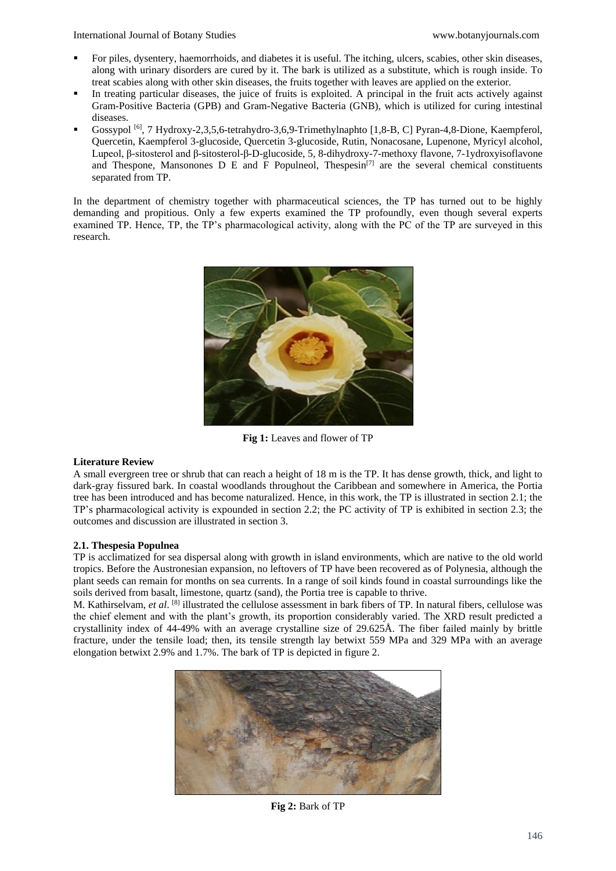- For piles, dysentery, haemorrhoids, and diabetes it is useful. The itching, ulcers, scabies, other skin diseases, along with urinary disorders are cured by it. The bark is utilized as a substitute, which is rough inside. To treat scabies along with other skin diseases, the fruits together with leaves are applied on the exterior.
- In treating particular diseases, the juice of fruits is exploited. A principal in the fruit acts actively against Gram-Positive Bacteria (GPB) and Gram-Negative Bacteria (GNB), which is utilized for curing intestinal diseases.
- Gossypol<sup>[6]</sup>, 7 Hydroxy-2,3,5,6-tetrahydro-3,6,9-Trimethylnaphto [1,8-B, C] Pyran-4,8-Dione, Kaempferol, Quercetin, Kaempferol 3-glucoside, Quercetin 3-glucoside, Rutin, Nonacosane, Lupenone, Myricyl alcohol, Lupeol, β-sitosterol and β-sitosterol-β-D-glucoside, 5, 8-dihydroxy-7-methoxy flavone, 7-1ydroxyisoflavone and Thespone, Mansonones D E and F Populneol, Thespesin<sup>[7]</sup> are the several chemical constituents separated from TP.

In the department of chemistry together with pharmaceutical sciences, the TP has turned out to be highly demanding and propitious. Only a few experts examined the TP profoundly, even though several experts examined TP. Hence, TP, the TP's pharmacological activity, along with the PC of the TP are surveyed in this research.



**Fig 1:** Leaves and flower of TP

## **Literature Review**

A small evergreen tree or shrub that can reach a height of 18 m is the TP. It has dense growth, thick, and light to dark-gray fissured bark. In coastal woodlands throughout the Caribbean and somewhere in America, the Portia tree has been introduced and has become naturalized. Hence, in this work, the TP is illustrated in section 2.1; the TP's pharmacological activity is expounded in section 2.2; the PC activity of TP is exhibited in section 2.3; the outcomes and discussion are illustrated in section 3.

## **2.1. Thespesia Populnea**

TP is acclimatized for sea dispersal along with growth in island environments, which are native to the old world tropics. Before the Austronesian expansion, no leftovers of TP have been recovered as of Polynesia, although the plant seeds can remain for months on sea currents. In a range of soil kinds found in coastal surroundings like the soils derived from basalt, limestone, quartz (sand), the Portia tree is capable to thrive.

M. Kathirselvam, *et al*. [8] illustrated the cellulose assessment in bark fibers of TP. In natural fibers, cellulose was the chief element and with the plant's growth, its proportion considerably varied. The XRD result predicted a crystallinity index of 44-49% with an average crystalline size of 29.625Å. The fiber failed mainly by brittle fracture, under the tensile load; then, its tensile strength lay betwixt 559 MPa and 329 MPa with an average elongation betwixt 2.9% and 1.7%. The bark of TP is depicted in figure 2.



**Fig 2:** Bark of TP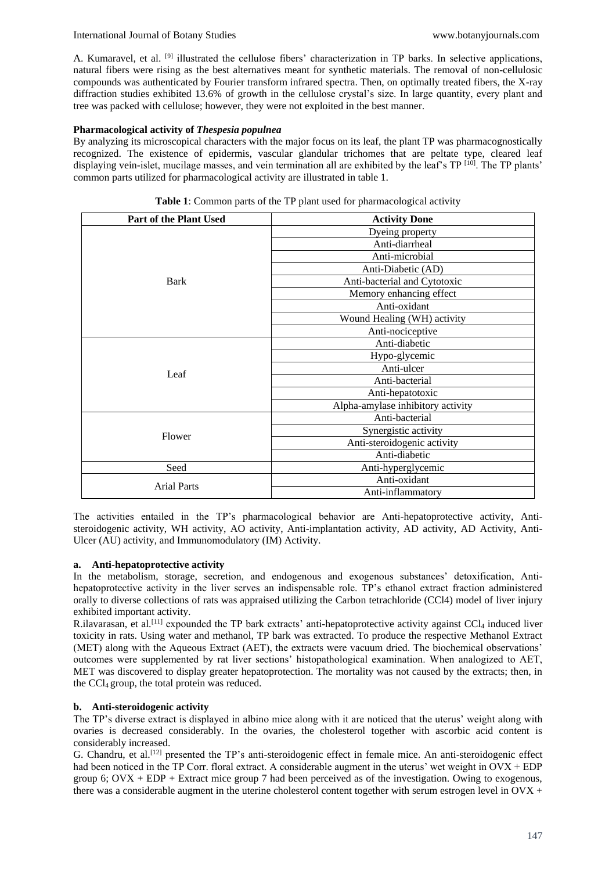#### International Journal of Botany Studies [www.botanyjournals.com](http://www.botanyjournals.com/)

A. Kumaravel, et al. [9] illustrated the cellulose fibers' characterization in TP barks. In selective applications, natural fibers were rising as the best alternatives meant for synthetic materials. The removal of non-cellulosic compounds was authenticated by Fourier transform infrared spectra. Then, on optimally treated fibers, the X-ray diffraction studies exhibited 13.6% of growth in the cellulose crystal's size. In large quantity, every plant and tree was packed with cellulose; however, they were not exploited in the best manner.

## **Pharmacological activity of** *Thespesia populnea*

By analyzing its microscopical characters with the major focus on its leaf, the plant TP was pharmacognostically recognized. The existence of epidermis, vascular glandular trichomes that are peltate type, cleared leaf displaying vein-islet, mucilage masses, and vein termination all are exhibited by the leaf's TP [10]. The TP plants' common parts utilized for pharmacological activity are illustrated in table 1.

| <b>Part of the Plant Used</b> | <b>Activity Done</b>              |  |
|-------------------------------|-----------------------------------|--|
|                               | Dyeing property                   |  |
|                               | Anti-diarrheal                    |  |
|                               | Anti-microbial                    |  |
|                               | Anti-Diabetic (AD)                |  |
| Bark                          | Anti-bacterial and Cytotoxic      |  |
|                               | Memory enhancing effect           |  |
|                               | Anti-oxidant                      |  |
|                               | Wound Healing (WH) activity       |  |
|                               | Anti-nociceptive                  |  |
|                               | Anti-diabetic                     |  |
|                               | Hypo-glycemic                     |  |
| Leaf                          | Anti-ulcer                        |  |
|                               | Anti-bacterial                    |  |
|                               | Anti-hepatotoxic                  |  |
|                               | Alpha-amylase inhibitory activity |  |
|                               | Anti-bacterial                    |  |
| Flower                        | Synergistic activity              |  |
|                               | Anti-steroidogenic activity       |  |
|                               | Anti-diabetic                     |  |
| Seed                          | Anti-hyperglycemic                |  |
| <b>Arial Parts</b>            | Anti-oxidant                      |  |
|                               | Anti-inflammatory                 |  |

**Table 1**: Common parts of the TP plant used for pharmacological activity

The activities entailed in the TP's pharmacological behavior are Anti-hepatoprotective activity, Antisteroidogenic activity, WH activity, AO activity, Anti-implantation activity, AD activity, AD Activity, Anti-Ulcer (AU) activity, and Immunomodulatory (IM) Activity.

#### **a. Anti-hepatoprotective activity**

In the metabolism, storage, secretion, and endogenous and exogenous substances' detoxification, Antihepatoprotective activity in the liver serves an indispensable role. TP's ethanol extract fraction administered orally to diverse collections of rats was appraised utilizing the Carbon tetrachloride (CCl4) model of liver injury exhibited important activity.

R.ilavarasan, et al.<sup>[11]</sup> expounded the TP bark extracts' anti-hepatoprotective activity against CCl<sub>4</sub> induced liver toxicity in rats. Using water and methanol, TP bark was extracted. To produce the respective Methanol Extract (MET) along with the Aqueous Extract (AET), the extracts were vacuum dried. The biochemical observations' outcomes were supplemented by rat liver sections' histopathological examination. When analogized to AET, MET was discovered to display greater hepatoprotection. The mortality was not caused by the extracts; then, in the CCl4 group, the total protein was reduced.

## **b. Anti-steroidogenic activity**

The TP's diverse extract is displayed in albino mice along with it are noticed that the uterus' weight along with ovaries is decreased considerably. In the ovaries, the cholesterol together with ascorbic acid content is considerably increased.

G. Chandru, et al.[12] presented the TP's anti-steroidogenic effect in female mice. An anti-steroidogenic effect had been noticed in the TP Corr. floral extract. A considerable augment in the uterus' wet weight in OVX + EDP group 6;  $Ovx + EDP + Extract$  mice group 7 had been perceived as of the investigation. Owing to exogenous, there was a considerable augment in the uterine cholesterol content together with serum estrogen level in  $O(X +$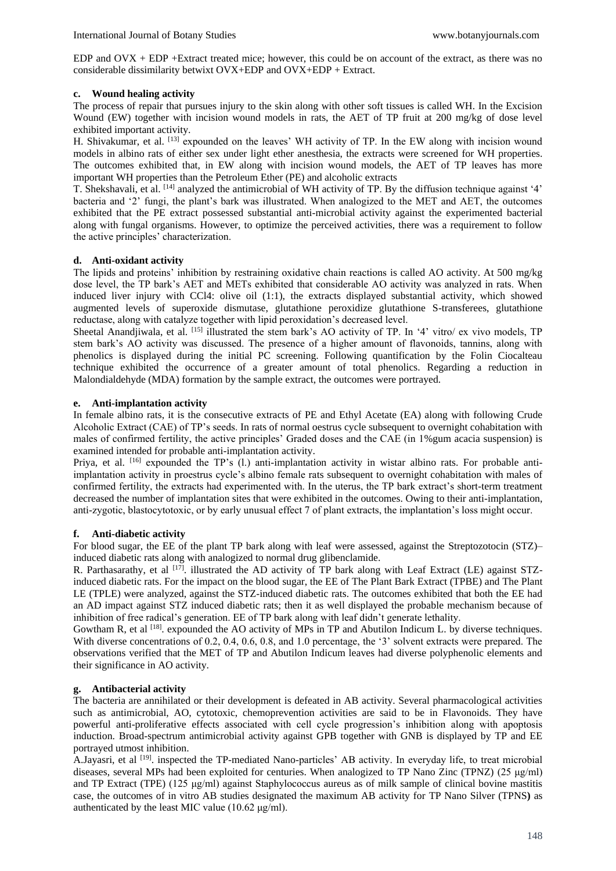EDP and OVX + EDP +Extract treated mice; however, this could be on account of the extract, as there was no considerable dissimilarity betwixt OVX+EDP and OVX+EDP + Extract.

#### **c. Wound healing activity**

The process of repair that pursues injury to the skin along with other soft tissues is called WH. In the Excision Wound (EW) together with incision wound models in rats, the AET of TP fruit at 200 mg/kg of dose level exhibited important activity.

H. Shivakumar, et al. <sup>[13]</sup> expounded on the leaves' WH activity of TP. In the EW along with incision wound models in albino rats of either sex under light ether anesthesia, the extracts were screened for WH properties. The outcomes exhibited that, in EW along with incision wound models, the AET of TP leaves has more important WH properties than the Petroleum Ether (PE) and alcoholic extracts

T. Shekshavali, et al. [14] analyzed the antimicrobial of WH activity of TP. By the diffusion technique against '4' bacteria and '2' fungi, the plant's bark was illustrated. When analogized to the MET and AET, the outcomes exhibited that the PE extract possessed substantial anti-microbial activity against the experimented bacterial along with fungal organisms. However, to optimize the perceived activities, there was a requirement to follow the active principles' characterization.

## **d. Anti-oxidant activity**

The lipids and proteins' inhibition by restraining oxidative chain reactions is called AO activity. At 500 mg/kg dose level, the TP bark's AET and METs exhibited that considerable AO activity was analyzed in rats. When induced liver injury with CCl4: olive oil (1:1), the extracts displayed substantial activity, which showed augmented levels of superoxide dismutase, glutathione peroxidize glutathione S-transferees, glutathione reductase, along with catalyze together with lipid peroxidation's decreased level.

Sheetal Anandjiwala, et al. <sup>[15]</sup> illustrated the stem bark's AO activity of TP. In '4' vitro/ ex vivo models, TP stem bark's AO activity was discussed. The presence of a higher amount of flavonoids, tannins, along with phenolics is displayed during the initial PC screening. Following quantification by the Folin Ciocalteau technique exhibited the occurrence of a greater amount of total phenolics. Regarding a reduction in Malondialdehyde (MDA) formation by the sample extract, the outcomes were portrayed.

## **e. Anti-implantation activity**

In female albino rats, it is the consecutive extracts of PE and Ethyl Acetate (EA) along with following Crude Alcoholic Extract (CAE) of TP's seeds. In rats of normal oestrus cycle subsequent to overnight cohabitation with males of confirmed fertility, the active principles' Graded doses and the CAE (in 1%gum acacia suspension) is examined intended for probable anti-implantation activity.

Priya, et al. <sup>[16]</sup> expounded the TP's (l.) anti-implantation activity in wistar albino rats. For probable antiimplantation activity in proestrus cycle's albino female rats subsequent to overnight cohabitation with males of confirmed fertility, the extracts had experimented with. In the uterus, the TP bark extract's short-term treatment decreased the number of implantation sites that were exhibited in the outcomes. Owing to their anti-implantation, anti-zygotic, blastocytotoxic, or by early unusual effect 7 of plant extracts, the implantation's loss might occur.

## **f. Anti-diabetic activity**

For blood sugar, the EE of the plant TP bark along with leaf were assessed, against the Streptozotocin (STZ)– induced diabetic rats along with analogized to normal drug glibenclamide.

R. Parthasarathy, et al  $[17]$ . illustrated the AD activity of TP bark along with Leaf Extract (LE) against STZinduced diabetic rats. For the impact on the blood sugar, the EE of The Plant Bark Extract (TPBE) and The Plant LE (TPLE) were analyzed, against the STZ-induced diabetic rats. The outcomes exhibited that both the EE had an AD impact against STZ induced diabetic rats; then it as well displayed the probable mechanism because of inhibition of free radical's generation. EE of TP bark along with leaf didn't generate lethality.

Gowtham R, et al  $^{[18]}$ . expounded the AO activity of MPs in TP and Abutilon Indicum L. by diverse techniques. With diverse concentrations of 0.2, 0.4, 0.6, 0.8, and 1.0 percentage, the '3' solvent extracts were prepared. The observations verified that the MET of TP and Abutilon Indicum leaves had diverse polyphenolic elements and their significance in AO activity.

## **g. Antibacterial activity**

The bacteria are annihilated or their development is defeated in AB activity. Several pharmacological activities such as antimicrobial, AO, cytotoxic, chemoprevention activities are said to be in Flavonoids. They have powerful anti-proliferative effects associated with cell cycle progression's inhibition along with apoptosis induction. Broad-spectrum antimicrobial activity against GPB together with GNB is displayed by TP and EE portrayed utmost inhibition.

A.Jayasri, et al <a>[19]</a>. inspected the TP-mediated Nano-particles' AB activity. In everyday life, to treat microbial diseases, several MPs had been exploited for centuries. When analogized to TP Nano Zinc (TPNZ) (25 μg/ml) and TP Extract (TPE) (125 μg/ml) against Staphylococcus aureus as of milk sample of clinical bovine mastitis case, the outcomes of in vitro AB studies designated the maximum AB activity for TP Nano Silver (TPNS**)** as authenticated by the least MIC value (10.62 μg/ml).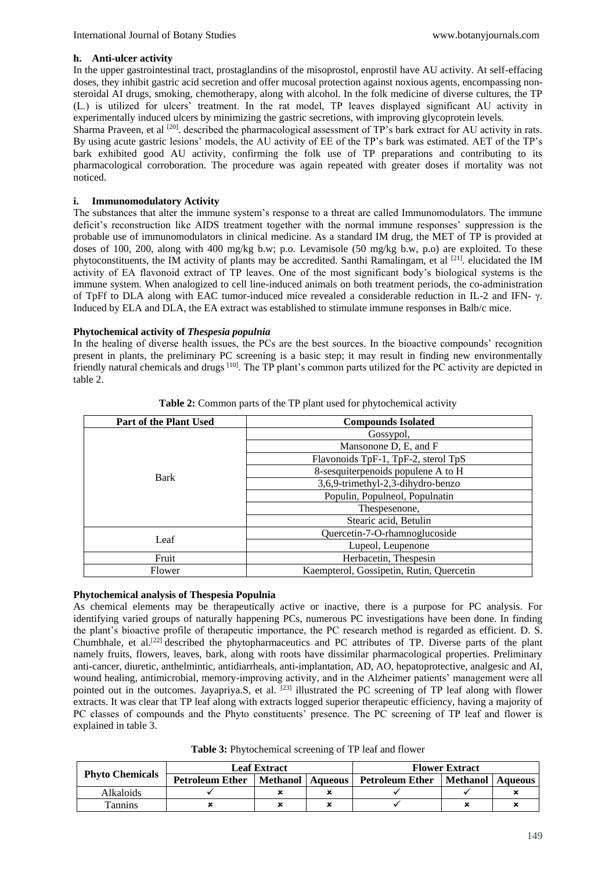#### **h. Anti-ulcer activity**

In the upper gastrointestinal tract, prostaglandins of the misoprostol, enprostil have AU activity. At self-effacing doses, they inhibit gastric acid secretion and offer mucosal protection against noxious agents, encompassing nonsteroidal AI drugs, smoking, chemotherapy, along with alcohol. In the folk medicine of diverse cultures, the TP (L.) is utilized for ulcers' treatment. In the rat model, TP leaves displayed significant AU activity in experimentally induced ulcers by minimizing the gastric secretions, with improving glycoprotein levels.

Sharma Praveen, et al <sup>[20]</sup>. described the pharmacological assessment of TP's bark extract for AU activity in rats. By using acute gastric lesions' models, the AU activity of EE of the TP's bark was estimated. AET of the TP's bark exhibited good AU activity, confirming the folk use of TP preparations and contributing to its pharmacological corroboration. The procedure was again repeated with greater doses if mortality was not noticed.

## **i. Immunomodulatory Activity**

The substances that alter the immune system's response to a threat are called Immunomodulators. The immune deficit's reconstruction like AIDS treatment together with the normal immune responses' suppression is the probable use of immunomodulators in clinical medicine. As a standard IM drug, the MET of TP is provided at doses of 100, 200, along with 400 mg/kg b.w; p.o. Levamisole (50 mg/kg b.w, p.o) are exploited. To these phytoconstituents, the IM activity of plants may be accredited. Santhi Ramalingam, et al  $[21]$  elucidated the IM activity of EA flavonoid extract of TP leaves. One of the most significant body's biological systems is the immune system. When analogized to cell line-induced animals on both treatment periods, the co-administration of TpFf to DLA along with EAC tumor-induced mice revealed a considerable reduction in IL-2 and IFN- γ. Induced by ELA and DLA, the EA extract was established to stimulate immune responses in Balb/c mice.

# **Phytochemical activity of** *Thespesia populnia*

In the healing of diverse health issues, the PCs are the best sources. In the bioactive compounds' recognition present in plants, the preliminary PC screening is a basic step; it may result in finding new environmentally friendly natural chemicals and drugs [10]. The TP plant's common parts utilized for the PC activity are depicted in table 2.

| <b>Part of the Plant Used</b> | <b>Compounds Isolated</b>                |  |  |
|-------------------------------|------------------------------------------|--|--|
|                               | Gossypol,                                |  |  |
|                               | Mansonone D, E, and F                    |  |  |
|                               | Flavonoids TpF-1, TpF-2, sterol TpS      |  |  |
| <b>Bark</b>                   | 8-sesquiterpenoids populene A to H       |  |  |
|                               | 3,6,9-trimethyl-2,3-dihydro-benzo        |  |  |
|                               | Populin, Populneol, Populnatin           |  |  |
|                               | Thespesenone,                            |  |  |
|                               | Stearic acid, Betulin                    |  |  |
| Leaf                          | Quercetin-7-O-rhamnoglucoside            |  |  |
|                               | Lupeol, Leupenone                        |  |  |
| Fruit                         | Herbacetin, Thespesin                    |  |  |
| Flower                        | Kaempterol, Gossipetin, Rutin, Quercetin |  |  |

**Table 2:** Common parts of the TP plant used for phytochemical activity

# **Phytochemical analysis of Thespesia Populnia**

As chemical elements may be therapeutically active or inactive, there is a purpose for PC analysis. For identifying varied groups of naturally happening PCs, numerous PC investigations have been done. In finding the plant's bioactive profile of therapeutic importance, the PC research method is regarded as efficient. D. S. Chumbhale, et al.[22] described the phytopharmaceutics and PC attributes of TP. Diverse parts of the plant namely fruits, flowers, leaves, bark, along with roots have dissimilar pharmacological properties. Preliminary anti-cancer, diuretic, anthelmintic, antidiarrheals, anti-implantation, AD, AO, hepatoprotective, analgesic and AI, wound healing, antimicrobial, memory-improving activity, and in the Alzheimer patients' management were all pointed out in the outcomes. Jayapriya.S, et al. <sup>[23]</sup> illustrated the PC screening of TP leaf along with flower extracts. It was clear that TP leaf along with extracts logged superior therapeutic efficiency, having a majority of PC classes of compounds and the Phyto constituents' presence. The PC screening of TP leaf and flower is explained in table 3.

**Table 3:** Phytochemical screening of TP leaf and flower

| <b>Phyto Chemicals</b> | <b>Leaf Extract</b>                                              |  |                    | <b>Flower Extract</b> |  |
|------------------------|------------------------------------------------------------------|--|--------------------|-----------------------|--|
|                        | <b>Petroleum Ether</b><br>  Methanol   Aqueous   Petroleum Ether |  | Methanol   Aqueous |                       |  |
| Alkaloids              |                                                                  |  |                    |                       |  |
| <b>Tannins</b>         |                                                                  |  |                    |                       |  |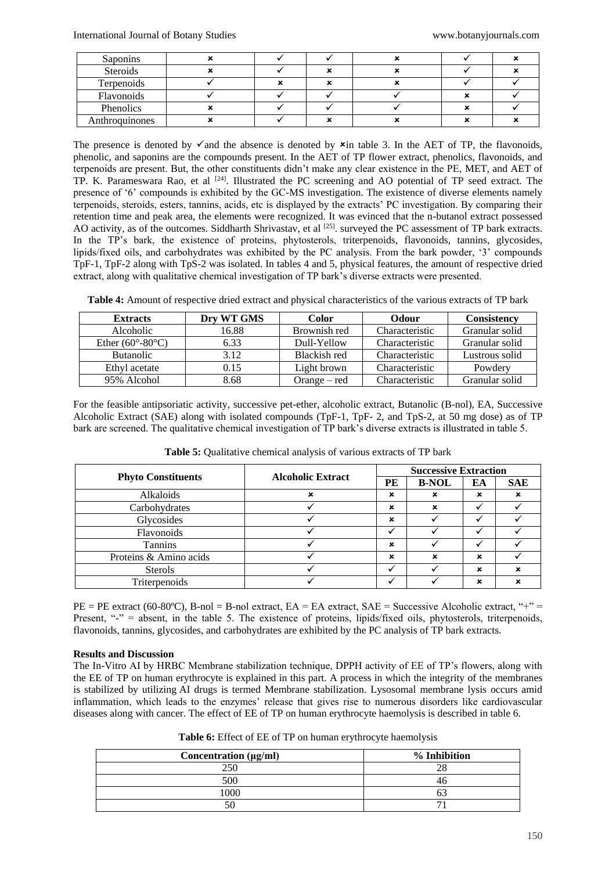| <b>Saponins</b> |  |  |  |
|-----------------|--|--|--|
| Steroids        |  |  |  |
| Terpenoids      |  |  |  |
| Flavonoids      |  |  |  |
| Phenolics       |  |  |  |
| Anthroquinones  |  |  |  |

The presence is denoted by  $\checkmark$  and the absence is denoted by  $\checkmark$  in table 3. In the AET of TP, the flavonoids, phenolic, and saponins are the compounds present. In the AET of TP flower extract, phenolics, flavonoids, and terpenoids are present. But, the other constituents didn't make any clear existence in the PE, MET, and AET of TP. K. Parameswara Rao, et al  $[24]$ . Illustrated the PC screening and AO potential of TP seed extract. The presence of '6' compounds is exhibited by the GC-MS investigation. The existence of diverse elements namely terpenoids, steroids, esters, tannins, acids, etc is displayed by the extracts' PC investigation. By comparing their retention time and peak area, the elements were recognized. It was evinced that the n-butanol extract possessed AO activity, as of the outcomes. Siddharth Shrivastav, et al <sup>[25]</sup>. surveyed the PC assessment of TP bark extracts. In the TP's bark, the existence of proteins, phytosterols, triterpenoids, flavonoids, tannins, glycosides, lipids/fixed oils, and carbohydrates was exhibited by the PC analysis. From the bark powder, '3' compounds TpF-1, TpF-2 along with TpS-2 was isolated. In tables 4 and 5, physical features, the amount of respective dried extract, along with qualitative chemical investigation of TP bark's diverse extracts were presented.

| Table 4: Amount of respective dried extract and physical characteristics of the various extracts of TP bark |  |  |  |
|-------------------------------------------------------------------------------------------------------------|--|--|--|
|-------------------------------------------------------------------------------------------------------------|--|--|--|

| <b>Extracts</b>                    | Drv WT GMS | Color          | Odour          | <b>Consistency</b> |
|------------------------------------|------------|----------------|----------------|--------------------|
| Alcoholic                          | 16.88      | Brownish red   | Characteristic | Granular solid     |
| Ether $(60^{\circ} - 80^{\circ}C)$ | 6.33       | Dull-Yellow    | Characteristic | Granular solid     |
| <b>Butanolic</b>                   | 3.12       | Blackish red   | Characteristic | Lustrous solid     |
| Ethyl acetate                      | 0.15       | Light brown    | Characteristic | Powdery            |
| 95% Alcohol                        | 8.68       | $Orange - red$ | Characteristic | Granular solid     |

For the feasible antipsoriatic activity, successive pet-ether, alcoholic extract, Butanolic (B-nol), EA, Successive Alcoholic Extract (SAE) along with isolated compounds (TpF-1, TpF- 2, and TpS-2, at 50 mg dose) as of TP bark are screened. The qualitative chemical investigation of TP bark's diverse extracts is illustrated in table 5.

|                           | <b>Alcoholic Extract</b> | <b>Successive Extraction</b> |              |    |            |
|---------------------------|--------------------------|------------------------------|--------------|----|------------|
| <b>Phyto Constituents</b> |                          | PE                           | <b>B-NOL</b> | EA | <b>SAE</b> |
| Alkaloids                 |                          | ×                            | ×            | ×  |            |
| Carbohydrates             |                          | $\mathbf x$                  | ×            |    |            |
| Glycosides                |                          | $\mathbf x$                  |              |    |            |
| Flavonoids                |                          |                              |              |    |            |
| Tannins                   |                          | $\mathbf x$                  |              |    |            |
| Proteins & Amino acids    |                          | $\mathbf x$                  | ×            | ×  |            |
| <b>Sterols</b>            |                          |                              |              | ×  |            |
| Triterpenoids             |                          |                              |              | ×  |            |

**Table 5:** Qualitative chemical analysis of various extracts of TP bark

 $PE = PE$  extract (60-80°C), B-nol = B-nol extract, EA = EA extract, SAE = Successive Alcoholic extract, "+" = Present,  $-$  = absent, in the table 5. The existence of proteins, lipids/fixed oils, phytosterols, triterpenoids, flavonoids, tannins, glycosides, and carbohydrates are exhibited by the PC analysis of TP bark extracts.

#### **Results and Discussion**

The In-Vitro AI by HRBC Membrane stabilization technique, DPPH activity of EE of TP's flowers, along with the EE of TP on human erythrocyte is explained in this part. A process in which the integrity of the membranes is stabilized by utilizing AI drugs is termed Membrane stabilization. Lysosomal membrane lysis occurs amid inflammation, which leads to the enzymes' release that gives rise to numerous disorders like cardiovascular diseases along with cancer. The effect of EE of TP on human erythrocyte haemolysis is described in table 6.

| Table 6: Effect of EE of TP on human erythrocyte haemolysis |  |
|-------------------------------------------------------------|--|
|-------------------------------------------------------------|--|

| Concentration $(\mu g/ml)$ | % Inhibition |
|----------------------------|--------------|
| ารก                        | າເ           |
|                            |              |
| 1000                       |              |
|                            |              |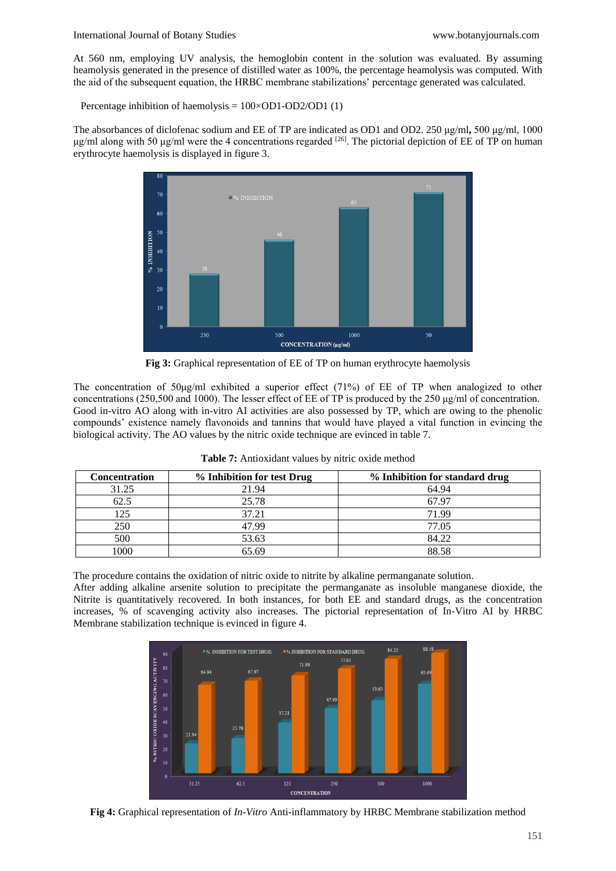#### International Journal of Botany Studies [www.botanyjournals.com](http://www.botanyjournals.com/)

At 560 nm, employing UV analysis, the hemoglobin content in the solution was evaluated. By assuming heamolysis generated in the presence of distilled water as 100%, the percentage heamolysis was computed. With the aid of the subsequent equation, the HRBC membrane stabilizations' percentage generated was calculated.

Percentage inhibition of haemolysis = 100×OD1-OD2/OD1 (1)

The absorbances of diclofenac sodium and EE of TP are indicated as OD1 and OD2. 250 μg/ml**,** 500 μg/ml, 1000 μg/ml along with 50 μg/ml were the 4 concentrations regarded [26]. The pictorial depiction of EE of TP on human erythrocyte haemolysis is displayed in figure 3.



**Fig 3:** Graphical representation of EE of TP on human erythrocyte haemolysis

The concentration of  $50\mu g/ml$  exhibited a superior effect (71%) of EE of TP when analogized to other concentrations (250,500 and 1000). The lesser effect of EE of TP is produced by the 250 μg/ml of concentration. Good in-vitro AO along with in-vitro AI activities are also possessed by TP, which are owing to the phenolic compounds' existence namely flavonoids and tannins that would have played a vital function in evincing the biological activity. The AO values by the nitric oxide technique are evinced in table 7.

| <b>Concentration</b> | % Inhibition for test Drug | % Inhibition for standard drug |
|----------------------|----------------------------|--------------------------------|
| 31.25                | 21.94                      | 64.94                          |
| 62.5                 | 25.78                      | 67.97                          |
| 125                  | 37.21                      | 71.99                          |
| 250                  | 47.99                      | 77.05                          |
| 500                  | 53.63                      | 84.22                          |
| 1000                 | 65.69                      | 88.58                          |

**Table 7:** Antioxidant values by nitric oxide method

The procedure contains the oxidation of nitric oxide to nitrite by alkaline permanganate solution.

After adding alkaline arsenite solution to precipitate the permanganate as insoluble manganese dioxide, the Nitrite is quantitatively recovered. In both instances, for both EE and standard drugs, as the concentration increases, % of scavenging activity also increases. The pictorial representation of In-Vitro AI by HRBC Membrane stabilization technique is evinced in figure 4.



**Fig 4:** Graphical representation of *In-Vitro* Anti-inflammatory by HRBC Membrane stabilization method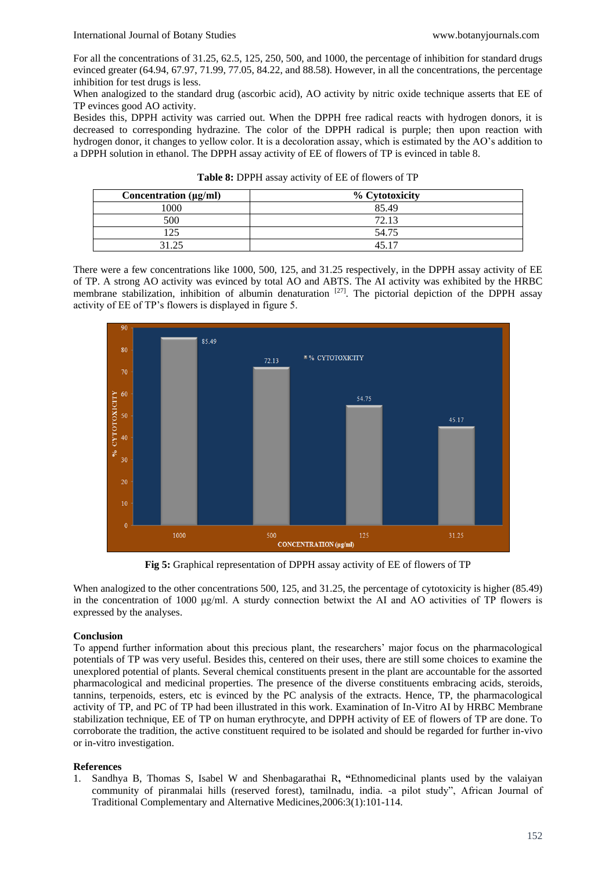For all the concentrations of 31.25, 62.5, 125, 250, 500, and 1000, the percentage of inhibition for standard drugs evinced greater (64.94, 67.97, 71.99, 77.05, 84.22, and 88.58). However, in all the concentrations, the percentage inhibition for test drugs is less.

When analogized to the standard drug (ascorbic acid), AO activity by nitric oxide technique asserts that EE of TP evinces good AO activity.

Besides this, DPPH activity was carried out. When the DPPH free radical reacts with hydrogen donors, it is decreased to corresponding hydrazine. The color of the DPPH radical is purple; then upon reaction with hydrogen donor, it changes to yellow color. It is a decoloration assay, which is estimated by the AO's addition to a DPPH solution in ethanol. The DPPH assay activity of EE of flowers of TP is evinced in table 8.

| Table 8: DPPH assay activity of EE of flowers of TP |  |  |  |  |
|-----------------------------------------------------|--|--|--|--|
|-----------------------------------------------------|--|--|--|--|

| Concentration $(\mu g/ml)$ | % Cytotoxicity |
|----------------------------|----------------|
| 1000                       | 85.49          |
| 500                        | 72.13          |
| 25                         | 54.75          |
| 31.25                      | 45 17          |

There were a few concentrations like 1000, 500, 125, and 31.25 respectively, in the DPPH assay activity of EE of TP. A strong AO activity was evinced by total AO and ABTS. The AI activity was exhibited by the HRBC membrane stabilization, inhibition of albumin denaturation  $[27]$ . The pictorial depiction of the DPPH assay activity of EE of TP's flowers is displayed in figure 5.



**Fig 5:** Graphical representation of DPPH assay activity of EE of flowers of TP

When analogized to the other concentrations 500, 125, and 31.25, the percentage of cytotoxicity is higher (85.49) in the concentration of 1000 μg/ml. A sturdy connection betwixt the AI and AO activities of TP flowers is expressed by the analyses.

## **Conclusion**

To append further information about this precious plant, the researchers' major focus on the pharmacological potentials of TP was very useful. Besides this, centered on their uses, there are still some choices to examine the unexplored potential of plants. Several chemical constituents present in the plant are accountable for the assorted pharmacological and medicinal properties. The presence of the diverse constituents embracing acids, steroids, tannins, terpenoids, esters, etc is evinced by the PC analysis of the extracts. Hence, TP, the pharmacological activity of TP, and PC of TP had been illustrated in this work. Examination of In-Vitro AI by HRBC Membrane stabilization technique, EE of TP on human erythrocyte, and DPPH activity of EE of flowers of TP are done. To corroborate the tradition, the active constituent required to be isolated and should be regarded for further in-vivo or in-vitro investigation.

## **References**

1. Sandhya B, Thomas S, Isabel W and Shenbagarathai R**, "**Ethnomedicinal plants used by the valaiyan community of piranmalai hills (reserved forest), tamilnadu, india. -a pilot study", African Journal of Traditional Complementary and Alternative Medicines,2006:3(1):101-114.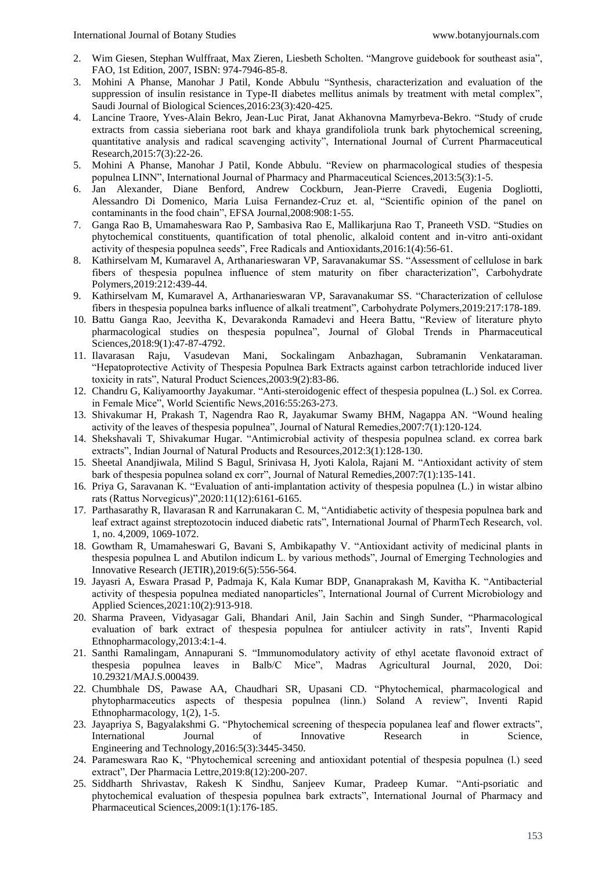- 2. Wim Giesen, Stephan Wulffraat, Max Zieren, Liesbeth Scholten. "Mangrove guidebook for southeast asia", FAO, 1st Edition, 2007, ISBN: 974-7946-85-8.
- 3. Mohini A Phanse, Manohar J Patil, Konde Abbulu "Synthesis, characterization and evaluation of the suppression of insulin resistance in Type-II diabetes mellitus animals by treatment with metal complex", Saudi Journal of Biological Sciences,2016:23(3):420-425.
- 4. Lancine Traore, Yves-Alain Bekro, Jean-Luc Pirat, Janat Akhanovna Mamyrbeva-Bekro. "Study of crude extracts from cassia sieberiana root bark and khaya grandifoliola trunk bark phytochemical screening, quantitative analysis and radical scavenging activity", International Journal of Current Pharmaceutical Research,2015:7(3):22-26.
- 5. Mohini A Phanse, Manohar J Patil, Konde Abbulu. "Review on pharmacological studies of thespesia populnea LINN", International Journal of Pharmacy and Pharmaceutical Sciences,2013:5(3):1-5.
- 6. Jan Alexander, Diane Benford, Andrew Cockburn, Jean-Pierre Cravedi, Eugenia Dogliotti, Alessandro Di Domenico, Maria Luisa Fernandez-Cruz et. al, "Scientific opinion of the panel on contaminants in the food chain", EFSA Journal,2008:908:1-55.
- 7. Ganga Rao B, Umamaheswara Rao P, Sambasiva Rao E, Mallikarjuna Rao T, Praneeth VSD. "Studies on phytochemical constituents, quantification of total phenolic, alkaloid content and in-vitro anti-oxidant activity of thespesia populnea seeds", Free Radicals and Antioxidants,2016:1(4):56-61.
- 8. Kathirselvam M, Kumaravel A, Arthanarieswaran VP, Saravanakumar SS. "Assessment of cellulose in bark fibers of thespesia populnea influence of stem maturity on fiber characterization", Carbohydrate Polymers,2019:212:439-44.
- 9. Kathirselvam M, Kumaravel A, Arthanarieswaran VP, Saravanakumar SS. "Characterization of cellulose fibers in thespesia populnea barks influence of alkali treatment", Carbohydrate Polymers,2019:217:178-189.
- 10. Battu Ganga Rao, Jeevitha K, Devarakonda Ramadevi and Heera Battu, "Review of literature phyto pharmacological studies on thespesia populnea", Journal of Global Trends in Pharmaceutical Sciences,2018:9(1):47-87-4792.
- 11. Ilavarasan Raju, Vasudevan Mani, Sockalingam Anbazhagan, Subramanin Venkataraman. "Hepatoprotective Activity of Thespesia Populnea Bark Extracts against carbon tetrachloride induced liver toxicity in rats", Natural Product Sciences,2003:9(2):83-86.
- 12. Chandru G, Kaliyamoorthy Jayakumar. "Anti-steroidogenic effect of thespesia populnea (L.) Sol. ex Correa. in Female Mice", World Scientific News,2016:55:263-273.
- 13. Shivakumar H, Prakash T, Nagendra Rao R, Jayakumar Swamy BHM, Nagappa AN. "Wound healing activity of the leaves of thespesia populnea", Journal of Natural Remedies,2007:7(1):120-124.
- 14. Shekshavali T, Shivakumar Hugar. "Antimicrobial activity of thespesia populnea scland. ex correa bark extracts", Indian Journal of Natural Products and Resources,2012:3(1):128-130.
- 15. Sheetal Anandjiwala, Milind S Bagul, Srinivasa H, Jyoti Kalola, Rajani M. "Antioxidant activity of stem bark of thespesia populnea soland ex corr", Journal of Natural Remedies,2007:7(1):135-141.
- 16. Priya G, Saravanan K. "Evaluation of anti-implantation activity of thespesia populnea (L.) in wistar albino rats (Rattus Norvegicus)",2020:11(12):6161-6165.
- 17. Parthasarathy R, Ilavarasan R and Karrunakaran C. M, "Antidiabetic activity of thespesia populnea bark and leaf extract against streptozotocin induced diabetic rats", International Journal of PharmTech Research, vol. 1, no. 4,2009, 1069-1072.
- 18. Gowtham R, Umamaheswari G, Bavani S, Ambikapathy V. "Antioxidant activity of medicinal plants in thespesia populnea L and Abutilon indicum L. by various methods", Journal of Emerging Technologies and Innovative Research (JETIR),2019:6(5):556-564.
- 19. Jayasri A, Eswara Prasad P, Padmaja K, Kala Kumar BDP, Gnanaprakash M, Kavitha K. "Antibacterial activity of thespesia populnea mediated nanoparticles", International Journal of Current Microbiology and Applied Sciences,2021:10(2):913-918.
- 20. Sharma Praveen, Vidyasagar Gali, Bhandari Anil, Jain Sachin and Singh Sunder, "Pharmacological evaluation of bark extract of thespesia populnea for antiulcer activity in rats", Inventi Rapid Ethnopharmacology,2013:4:1-4.
- 21. Santhi Ramalingam, Annapurani S. "Immunomodulatory activity of ethyl acetate flavonoid extract of thespesia populnea leaves in Balb/C Mice", Madras Agricultural Journal, 2020, Doi: 10.29321/MAJ.S.000439.
- 22. Chumbhale DS, Pawase AA, Chaudhari SR, Upasani CD. "Phytochemical, pharmacological and phytopharmaceutics aspects of thespesia populnea (linn.) Soland A review", Inventi Rapid Ethnopharmacology, 1(2), 1-5.
- 23. Jayapriya S, Bagyalakshmi G. "Phytochemical screening of thespecia populanea leaf and flower extracts", International Journal of Innovative Research in Science, Engineering and Technology,2016:5(3):3445-3450.
- 24. Parameswara Rao K, "Phytochemical screening and antioxidant potential of thespesia populnea (l.) seed extract", Der Pharmacia Lettre,2019:8(12):200-207.
- 25. Siddharth Shrivastav, Rakesh K Sindhu, Sanjeev Kumar, Pradeep Kumar. "Anti-psoriatic and phytochemical evaluation of thespesia populnea bark extracts", International Journal of Pharmacy and Pharmaceutical Sciences,2009:1(1):176-185.